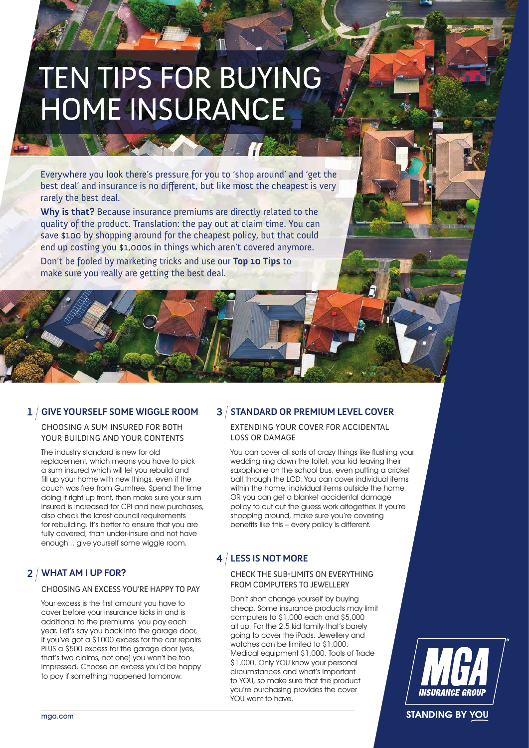# TEN TIPS FOR BUYING HOME INSURANCE

Everywhere you look there's pressure for you to 'shop around' and 'get the best deal' and insurance is no different, but like most the cheapest is very rarely the best deal.

**Why is that?** Because insurance premiums are directly related to the quality of the product. Translation: the pay out at claim time. You can save \$100 by shopping around for the cheapest policy, but that could end up costing you \$1,000s in things which aren't covered anymore. Don't be fooled by marketing tricks and use our **Top 10 Tips** to make sure you really are getting the best deal.

## **1 3 GIVE YOURSELF SOME WIGGLE ROOM**

CHOOSING A SUM INSURED FOR BOTH YOUR BUILDING AND YOUR CONTENTS

The industry standard is new for old replacement, which means you have to pick a sum insured which will let you rebuild and fill up your home with new things, even if the couch was free from Gumtree. Spend the time doing it right up front, then make sure your sum insured is increased for CPI and new purchases, also check the latest council requirements for rebuilding. It's better to ensure that you are fully covered, than under-insure and not have enough... give yourself some wiggle room.

# **2 WHAT AM I UP FOR?**

#### CHOOSING AN EXCESS YOU'RE HAPPY TO PAY

Your excess is the first amount you have to cover before your insurance kicks in and is additional to the premiums you pay each year. Let's say you back into the garage door, if you've got a \$1000 excess for the car repairs PLUS a \$500 excess for the garage door (yes, that's two claims, not one) you won't be too impressed. Choose an excess you'd be happy to pay if something happened tomorrow.

#### **STANDARD OR PREMIUM LEVEL COVER**

EXTENDING YOUR COVER FOR ACCIDENTAL LOSS OR DAMAGE

You can cover all sorts of crazy things like flushing your wedding ring down the toilet, your kid leaving their saxophone on the school bus, even putting a cricket ball through the LCD. You can cover individual items within the home, individual items outside the home, OR you can get a blanket accidental damage policy to cut out the guess work altogether. If you're shopping around, make sure you're covering benefits like this – every policy is different.

## **4 LESS IS NOT MORE**

CHECK THE SUB-LIMITS ON EVERYTHING FROM COMPUTERS TO JEWELLERY

Don't short change yourself by buying cheap. Some insurance products may limit computers to \$1,000 each and \$5,000 all up. For the 2.5 kid family that's barely going to cover the iPads. Jewellery and watches can be limited to \$1,000. Medical equipment \$1,000. Tools of Trade \$1,000. Only YOU know your personal circumstances and what's important to YOU, so make sure that the product you're purchasing provides the cover YOU want to have.



**STANDING BY YOU**